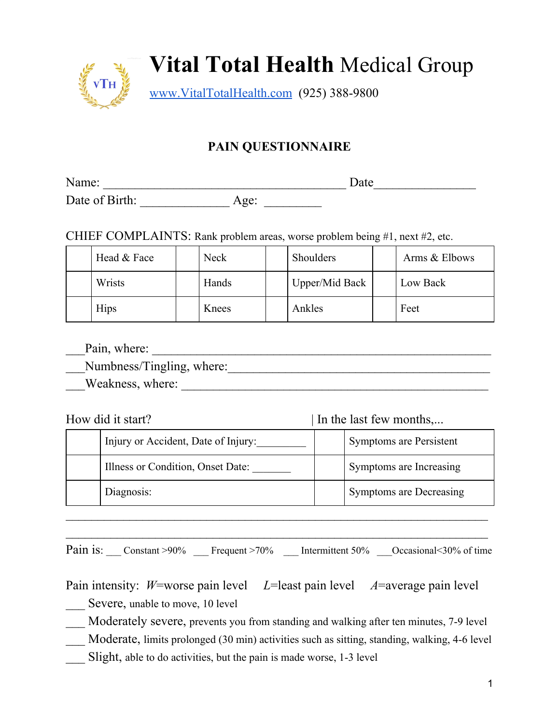

#### **PAIN QUESTIONNAIRE**

Name: \_\_\_\_\_\_\_\_\_\_\_\_\_\_\_\_\_\_\_\_\_\_\_\_\_\_\_\_\_\_\_\_\_\_\_\_\_\_ Date\_\_\_\_\_\_\_\_\_\_\_\_\_\_\_\_

Date of Birth: Age:

CHIEF COMPLAINTS: Rank problem areas, worse problem being #1, next #2, etc.

| Head & Face | <b>Neck</b> | Shoulders      | Arms & Elbows |
|-------------|-------------|----------------|---------------|
| Wrists      | Hands       | Upper/Mid Back | Low Back      |
| <b>Hips</b> | Knees       | Ankles         | Feet          |

\_\_\_Pain, where: \_\_\_\_\_\_\_\_\_\_\_\_\_\_\_\_\_\_\_\_\_\_\_\_\_\_\_\_\_\_\_\_\_\_\_\_\_\_\_\_\_\_\_\_\_\_\_\_\_\_\_\_\_

Numbness/Tingling, where:

\_\_\_Weakness, where: \_\_\_\_\_\_\_\_\_\_\_\_\_\_\_\_\_\_\_\_\_\_\_\_\_\_\_\_\_\_\_\_\_\_\_\_\_\_\_\_\_\_\_\_\_\_\_\_

| How did it start?                   | In the last few months, |
|-------------------------------------|-------------------------|
| Injury or Accident, Date of Injury: | Symptoms are Persistent |
| Illness or Condition, Onset Date:   | Symptoms are Increasing |
| Diagnosis:                          | Symptoms are Decreasing |
|                                     |                         |

 $\mathcal{L}_\text{max}$  , and the contract of the contract of the contract of the contract of the contract of the contract of the contract of the contract of the contract of the contract of the contract of the contract of the contr Pain is: \_\_\_ Constant >90% \_\_\_ Frequent >70% \_\_\_ Intermittent 50% \_\_\_ Occasional<30% of time

Pain intensity: *W*=worse pain level *L*=least pain level *A*=average pain level

Severe, unable to move, 10 level

\_\_\_ Moderately severe, prevents you from standing and walking after ten minutes, 7-9 level

Moderate, limits prolonged (30 min) activities such as sitting, standing, walking, 4-6 level

Slight, able to do activities, but the pain is made worse, 1-3 level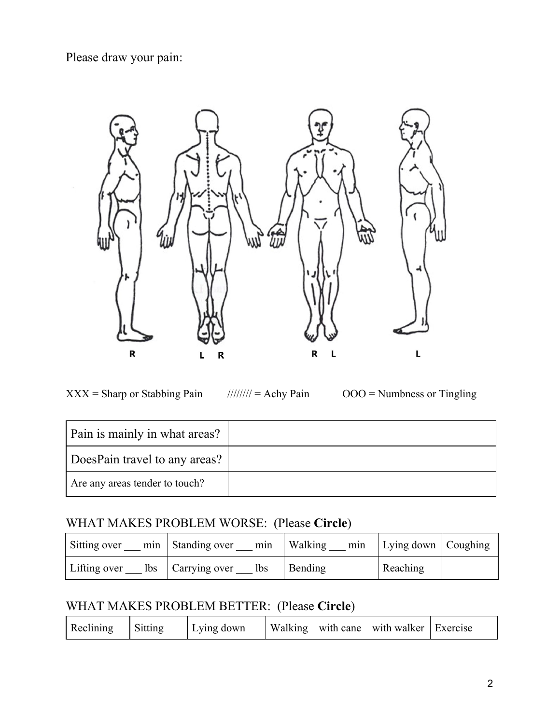Please draw your pain:



 $XXX =$  Sharp or Stabbing Pain //////// = Achy Pain  $OOO =$  Numbness or Tingling

| Pain is mainly in what areas?  |  |
|--------------------------------|--|
| DoesPain travel to any areas?  |  |
| Are any areas tender to touch? |  |

#### WHAT MAKES PROBLEM WORSE: (Please **Circle**)

| Sitting over<br>mın | Standing over<br>min              | Walking<br>min | Lying down   Coughing |  |
|---------------------|-----------------------------------|----------------|-----------------------|--|
| Lifting over        | lbs   Carrying over<br><b>lbs</b> | Bending        | Reaching              |  |

## WHAT MAKES PROBLEM BETTER: (Please **Circle**)

| Reclining | Sitting | Lying down |  |  | Walking with cane with walker   Exercise |  |
|-----------|---------|------------|--|--|------------------------------------------|--|
|-----------|---------|------------|--|--|------------------------------------------|--|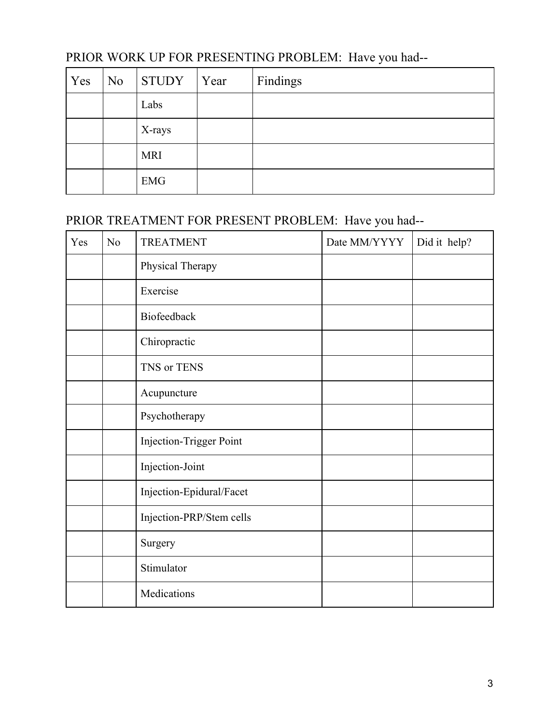| Yes | N <sub>0</sub> | STUDY Year | Findings |
|-----|----------------|------------|----------|
|     |                | Labs       |          |
|     |                | X-rays     |          |
|     |                | <b>MRI</b> |          |
|     |                | <b>EMG</b> |          |

### PRIOR WORK UP FOR PRESENTING PROBLEM: Have you had--

### PRIOR TREATMENT FOR PRESENT PROBLEM: Have you had--

| Yes | N <sub>o</sub> | <b>TREATMENT</b>         | Date MM/YYYY | Did it help? |
|-----|----------------|--------------------------|--------------|--------------|
|     |                | Physical Therapy         |              |              |
|     |                | Exercise                 |              |              |
|     |                | Biofeedback              |              |              |
|     |                | Chiropractic             |              |              |
|     |                | TNS or TENS              |              |              |
|     |                | Acupuncture              |              |              |
|     |                | Psychotherapy            |              |              |
|     |                | Injection-Trigger Point  |              |              |
|     |                | Injection-Joint          |              |              |
|     |                | Injection-Epidural/Facet |              |              |
|     |                | Injection-PRP/Stem cells |              |              |
|     |                | Surgery                  |              |              |
|     |                | Stimulator               |              |              |
|     |                | Medications              |              |              |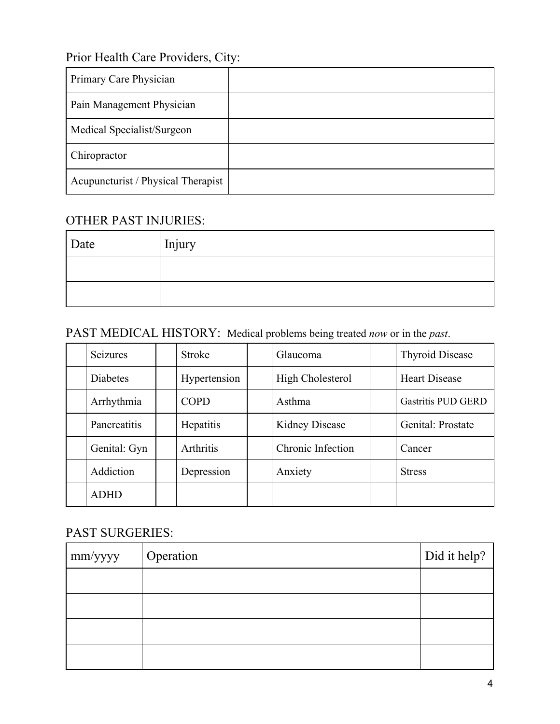## Prior Health Care Providers, City:

| Primary Care Physician             |  |
|------------------------------------|--|
| Pain Management Physician          |  |
| Medical Specialist/Surgeon         |  |
| Chiropractor                       |  |
| Acupuncturist / Physical Therapist |  |

#### OTHER PAST INJURIES:

| Date | Injury |
|------|--------|
|      |        |
|      |        |

### PAST MEDICAL HISTORY: Medical problems being treated *now* or in the *past*.

| <b>Seizures</b> | <b>Stroke</b>    | Glaucoma          | <b>Thyroid Disease</b> |
|-----------------|------------------|-------------------|------------------------|
| <b>Diabetes</b> | Hypertension     | High Cholesterol  | <b>Heart Disease</b>   |
| Arrhythmia      | <b>COPD</b>      | Asthma            | Gastritis PUD GERD     |
| Pancreatitis    | Hepatitis        | Kidney Disease    | Genital: Prostate      |
| Genital: Gyn    | <b>Arthritis</b> | Chronic Infection | Cancer                 |
| Addiction       | Depression       | Anxiety           | <b>Stress</b>          |
| <b>ADHD</b>     |                  |                   |                        |

#### PAST SURGERIES:

| $\mid$ mm/yyyy | Operation | Did it help? |
|----------------|-----------|--------------|
|                |           |              |
|                |           |              |
|                |           |              |
|                |           |              |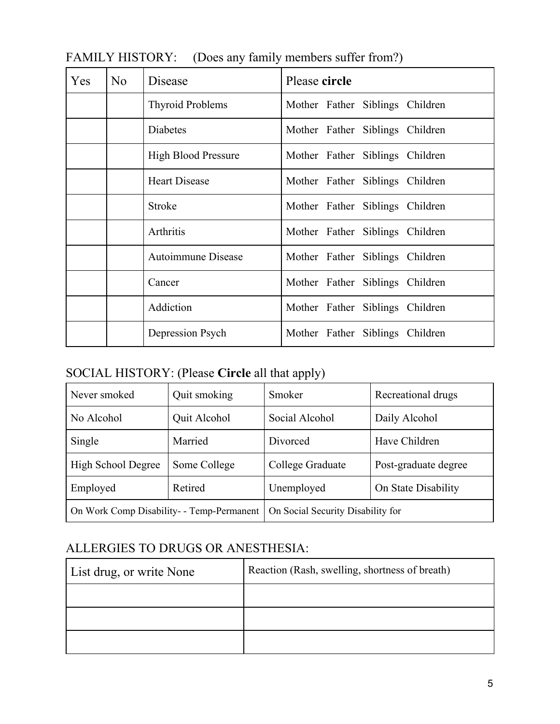| Yes | No | Disease                    | Please circle                   |
|-----|----|----------------------------|---------------------------------|
|     |    | <b>Thyroid Problems</b>    | Mother Father Siblings Children |
|     |    | Diabetes                   | Mother Father Siblings Children |
|     |    | <b>High Blood Pressure</b> | Mother Father Siblings Children |
|     |    | <b>Heart Disease</b>       | Mother Father Siblings Children |
|     |    | <b>Stroke</b>              | Mother Father Siblings Children |
|     |    | Arthritis                  | Mother Father Siblings Children |
|     |    | Autoimmune Disease         | Mother Father Siblings Children |
|     |    | Cancer                     | Mother Father Siblings Children |
|     |    | Addiction                  | Mother Father Siblings Children |
|     |    | Depression Psych           | Mother Father Siblings Children |

### FAMILY HISTORY: (Does any family members suffer from?)

# SOCIAL HISTORY: (Please **Circle** all that apply)

| Never smoked                              | Quit smoking | Smoker                            | Recreational drugs   |
|-------------------------------------------|--------------|-----------------------------------|----------------------|
| No Alcohol                                | Quit Alcohol | Social Alcohol                    | Daily Alcohol        |
| Single                                    | Married      | Divorced                          | Have Children        |
| High School Degree                        | Some College | College Graduate                  | Post-graduate degree |
| Employed                                  | Retired      | Unemployed                        | On State Disability  |
| On Work Comp Disability- - Temp-Permanent |              | On Social Security Disability for |                      |

### ALLERGIES TO DRUGS OR ANESTHESIA:

| List drug, or write None | Reaction (Rash, swelling, shortness of breath) |
|--------------------------|------------------------------------------------|
|                          |                                                |
|                          |                                                |
|                          |                                                |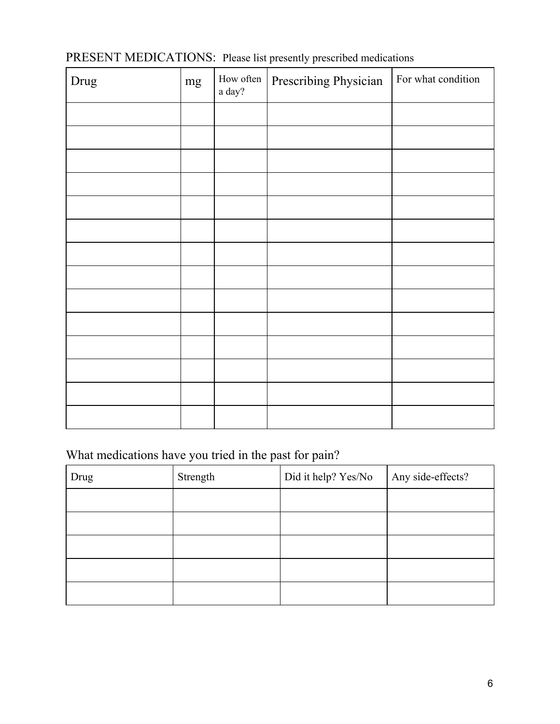| PRESENT MEDICATIONS: Please list presently prescribed medications |  |  |
|-------------------------------------------------------------------|--|--|
|-------------------------------------------------------------------|--|--|

| Drug | mg | How often<br>$\,$ a $\rm day?$ | Prescribing Physician | For what condition |
|------|----|--------------------------------|-----------------------|--------------------|
|      |    |                                |                       |                    |
|      |    |                                |                       |                    |
|      |    |                                |                       |                    |
|      |    |                                |                       |                    |
|      |    |                                |                       |                    |
|      |    |                                |                       |                    |
|      |    |                                |                       |                    |
|      |    |                                |                       |                    |
|      |    |                                |                       |                    |
|      |    |                                |                       |                    |
|      |    |                                |                       |                    |
|      |    |                                |                       |                    |
|      |    |                                |                       |                    |
|      |    |                                |                       |                    |

# What medications have you tried in the past for pain?

| Drug | Strength | Did it help? Yes/No | Any side-effects? |
|------|----------|---------------------|-------------------|
|      |          |                     |                   |
|      |          |                     |                   |
|      |          |                     |                   |
|      |          |                     |                   |
|      |          |                     |                   |